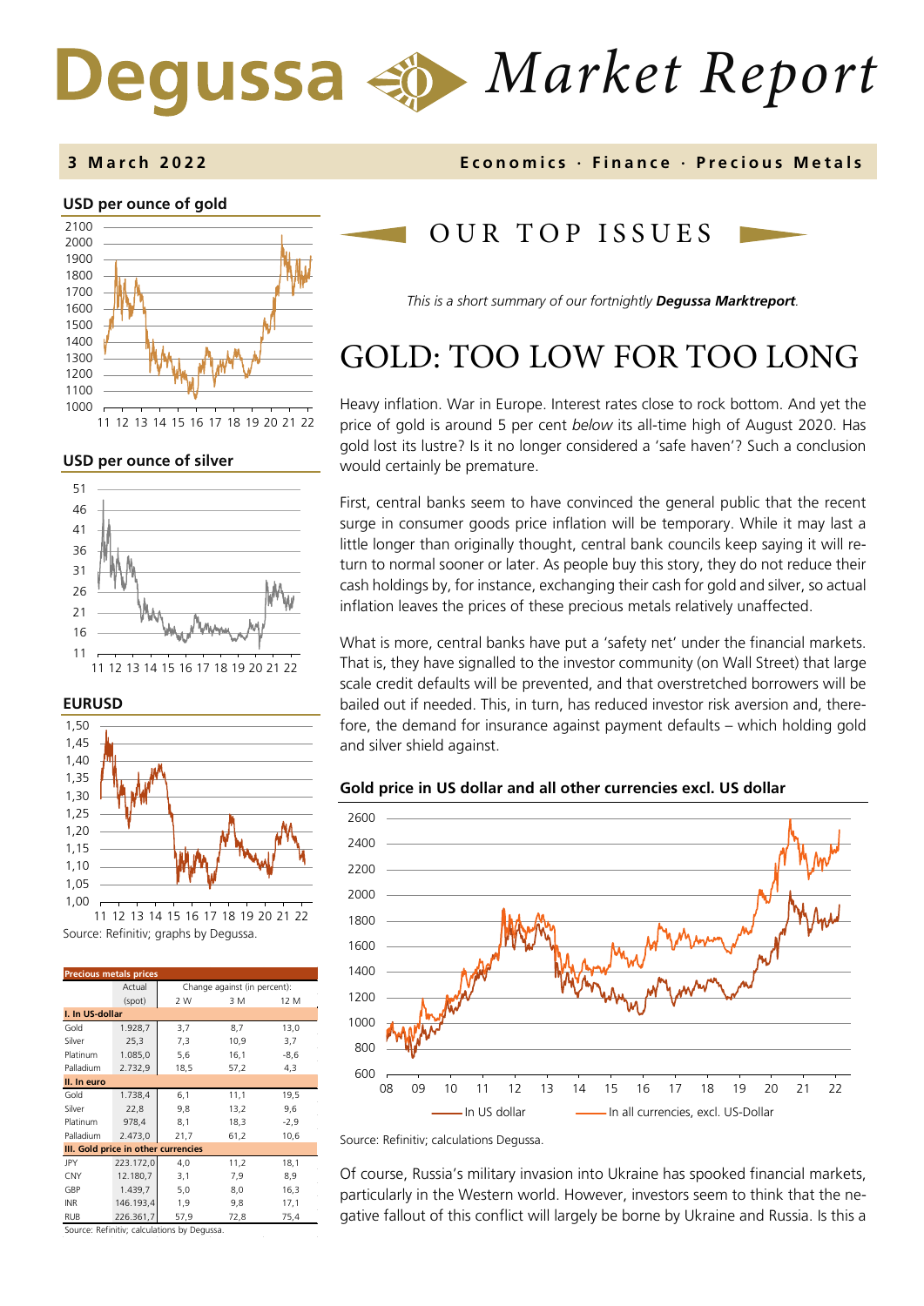# *Market Report* Degussa

### **3 March 202 2 Economics · Finance · Precious Metals**

### **USD per ounce of gold**



11 12 13 14 15 16 17 18 19 20 21 22

### **USD per ounce of silver**



### **EURUSD**



Source: Refinitiv; graphs by Degussa.

| <b>Precious metals prices</b>       |           |                              |      |        |  |  |
|-------------------------------------|-----------|------------------------------|------|--------|--|--|
|                                     | Actual    | Change against (in percent): |      |        |  |  |
|                                     | (spot)    | 2 W                          | 3 M  | 12 M   |  |  |
| I. In US-dollar                     |           |                              |      |        |  |  |
| Gold                                | 1.928,7   | 3,7                          | 8,7  | 13,0   |  |  |
| Silver                              | 25,3      | 7,3                          | 10,9 | 3,7    |  |  |
| Platinum                            | 1.085,0   | 5,6                          | 16,1 | $-8,6$ |  |  |
| Palladium                           | 2.732,9   | 18,5                         | 57,2 | 4,3    |  |  |
| II. In euro                         |           |                              |      |        |  |  |
| Gold                                | 1.738,4   | 6,1                          | 11,1 | 19,5   |  |  |
| Silver                              | 22,8      | 9,8                          | 13,2 | 9,6    |  |  |
| Platinum                            | 978,4     | 8,1                          | 18,3 | -2,9   |  |  |
| Palladium                           | 2.473,0   | 21,7                         | 61,2 | 10,6   |  |  |
| III. Gold price in other currencies |           |                              |      |        |  |  |
| JPY                                 | 223.172,0 | 4,0                          | 11,2 | 18,1   |  |  |
| <b>CNY</b>                          | 12.180,7  | 3,1                          | 7,9  | 8,9    |  |  |
| GBP                                 | 1.439,7   | 5,0                          | 8,0  | 16,3   |  |  |
| <b>INR</b>                          | 146.193,4 | 1,9                          | 9,8  | 17,1   |  |  |
| <b>RUB</b>                          | 226.361.7 | 57,9                         | 72,8 | 75,4   |  |  |

Source: Refinitiv; calculations by Degussa.

### OUR TOP ISSUE S

*This is a short summary of our fortnightly Degussa Marktreport.*

# GOLD: TOO LOW FOR TOO LONG

Heavy inflation. War in Europe. Interest rates close to rock bottom. And yet the price of gold is around 5 per cent *below* its all-time high of August 2020. Has gold lost its lustre? Is it no longer considered a 'safe haven'? Such a conclusion would certainly be premature.

First, central banks seem to have convinced the general public that the recent surge in consumer goods price inflation will be temporary. While it may last a little longer than originally thought, central bank councils keep saying it will return to normal sooner or later. As people buy this story, they do not reduce their cash holdings by, for instance, exchanging their cash for gold and silver, so actual inflation leaves the prices of these precious metals relatively unaffected.

What is more, central banks have put a 'safety net' under the financial markets. That is, they have signalled to the investor community (on Wall Street) that large scale credit defaults will be prevented, and that overstretched borrowers will be bailed out if needed. This, in turn, has reduced investor risk aversion and, therefore, the demand for insurance against payment defaults – which holding gold and silver shield against.

### **Gold price in US dollar and all other currencies excl. US dollar**



Source: Refinitiv; calculations Degussa.

Of course, Russia's military invasion into Ukraine has spooked financial markets, particularly in the Western world. However, investors seem to think that the negative fallout of this conflict will largely be borne by Ukraine and Russia. Is this a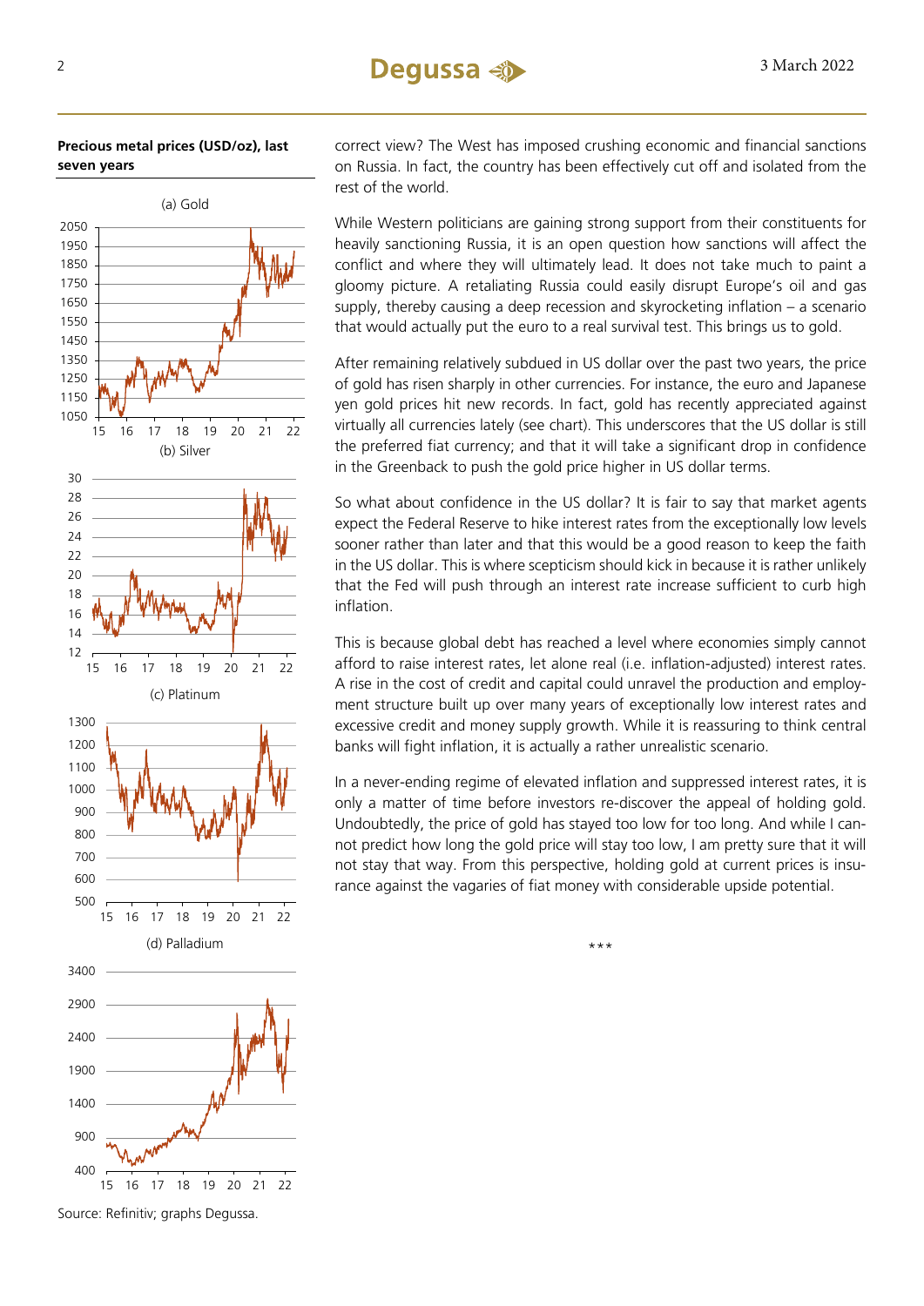**Precious metal prices (USD/oz), last seven years**



Source: Refinitiv; graphs Degussa.

correct view? The West has imposed crushing economic and financial sanctions on Russia. In fact, the country has been effectively cut off and isolated from the rest of the world.

While Western politicians are gaining strong support from their constituents for heavily sanctioning Russia, it is an open question how sanctions will affect the conflict and where they will ultimately lead. It does not take much to paint a gloomy picture. A retaliating Russia could easily disrupt Europe's oil and gas supply, thereby causing a deep recession and skyrocketing inflation – a scenario that would actually put the euro to a real survival test. This brings us to gold.

After remaining relatively subdued in US dollar over the past two years, the price of gold has risen sharply in other currencies. For instance, the euro and Japanese yen gold prices hit new records. In fact, gold has recently appreciated against virtually all currencies lately (see chart). This underscores that the US dollar is still the preferred fiat currency; and that it will take a significant drop in confidence in the Greenback to push the gold price higher in US dollar terms.

So what about confidence in the US dollar? It is fair to say that market agents expect the Federal Reserve to hike interest rates from the exceptionally low levels sooner rather than later and that this would be a good reason to keep the faith in the US dollar. This is where scepticism should kick in because it is rather unlikely that the Fed will push through an interest rate increase sufficient to curb high inflation.

This is because global debt has reached a level where economies simply cannot afford to raise interest rates, let alone real (i.e. inflation-adjusted) interest rates. A rise in the cost of credit and capital could unravel the production and employment structure built up over many years of exceptionally low interest rates and excessive credit and money supply growth. While it is reassuring to think central banks will fight inflation, it is actually a rather unrealistic scenario.

In a never-ending regime of elevated inflation and suppressed interest rates, it is only a matter of time before investors re-discover the appeal of holding gold. Undoubtedly, the price of gold has stayed too low for too long. And while I cannot predict how long the gold price will stay too low, I am pretty sure that it will not stay that way. From this perspective, holding gold at current prices is insurance against the vagaries of fiat money with considerable upside potential.

\*\*\*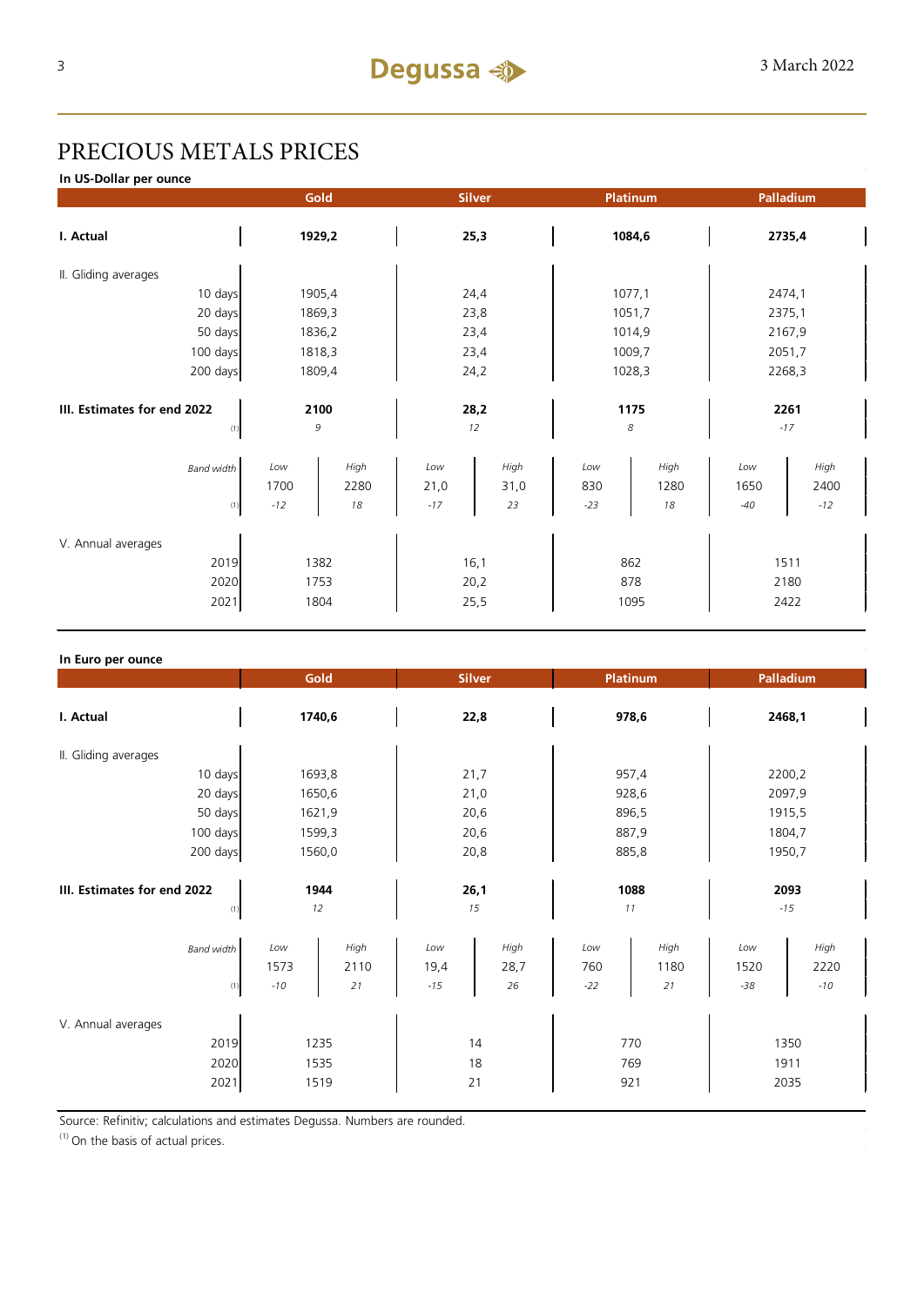## PRECIOUS METALS PRICES

**In US-Dollar per ounce**

|                                            |                      | Gold                 |                      | <b>Silver</b>        | <b>Platinum</b>     |                    |                      | Palladium             |
|--------------------------------------------|----------------------|----------------------|----------------------|----------------------|---------------------|--------------------|----------------------|-----------------------|
| I. Actual                                  | 1929,2               |                      | 25,3                 |                      | 1084,6              |                    | 2735,4               |                       |
| II. Gliding averages                       |                      |                      |                      |                      |                     |                    |                      |                       |
| 10 days                                    |                      | 1905,4               |                      | 24,4                 | 1077,1              |                    |                      | 2474,1                |
| 20 days                                    |                      | 1869,3               |                      | 23,8                 | 1051,7              |                    |                      | 2375,1                |
| 50 days                                    | 1836,2               |                      | 23,4                 |                      | 1014,9              |                    | 2167,9               |                       |
| 100 days                                   | 1818,3               |                      | 23,4                 |                      | 1009,7              |                    | 2051,7               |                       |
| 200 days                                   | 1809,4               |                      | 24,2                 |                      | 1028,3              |                    | 2268,3               |                       |
| III. Estimates for end 2022                |                      | 2100                 |                      | 28,2                 | 1175                |                    |                      | 2261                  |
| (1)                                        |                      | 9                    |                      | 12                   | $\boldsymbol{8}$    |                    |                      | $-17$                 |
| <b>Band width</b><br>(1)                   | Low<br>1700<br>$-12$ | High<br>2280<br>18   | Low<br>21,0<br>$-17$ | High<br>31,0<br>23   | Low<br>830<br>$-23$ | High<br>1280<br>18 | Low<br>1650<br>$-40$ | High<br>2400<br>$-12$ |
| V. Annual averages<br>2019<br>2020<br>2021 |                      | 1382<br>1753<br>1804 |                      | 16,1<br>20,2<br>25,5 | 862<br>878<br>1095  |                    |                      | 1511<br>2180<br>2422  |

| In Euro per ounce                          |                      |                      |                      |                    |                     |                    |                      |                       |
|--------------------------------------------|----------------------|----------------------|----------------------|--------------------|---------------------|--------------------|----------------------|-----------------------|
|                                            | Gold                 |                      | <b>Silver</b>        |                    | <b>Platinum</b>     |                    | Palladium            |                       |
| I. Actual                                  | 1740,6               |                      | 22,8                 |                    | 978,6               |                    | 2468,1               |                       |
| II. Gliding averages                       |                      |                      |                      |                    |                     |                    |                      |                       |
| 10 days                                    | 1693,8               |                      | 21,7                 |                    | 957,4               |                    | 2200,2               |                       |
| 20 days                                    | 1650,6               |                      | 21,0                 |                    | 928,6               |                    | 2097,9               |                       |
| 50 days                                    | 1621,9               |                      | 20,6                 |                    | 896,5               |                    | 1915,5               |                       |
| 100 days                                   | 1599,3               |                      | 20,6                 |                    | 887,9               |                    | 1804,7               |                       |
| 200 days                                   | 1560,0               |                      | 20,8                 |                    | 885,8               |                    | 1950,7               |                       |
| III. Estimates for end 2022                | 1944                 |                      | 26,1                 |                    | 1088                |                    | 2093                 |                       |
| (1)                                        | 12                   |                      |                      | 15                 |                     | 11                 |                      | $-15$                 |
| <b>Band width</b><br>(1)                   | Low<br>1573<br>$-10$ | High<br>2110<br>21   | Low<br>19,4<br>$-15$ | High<br>28,7<br>26 | Low<br>760<br>$-22$ | High<br>1180<br>21 | Low<br>1520<br>$-38$ | High<br>2220<br>$-10$ |
| V. Annual averages<br>2019<br>2020<br>2021 |                      | 1235<br>1535<br>1519 |                      | 14<br>18<br>21     |                     | 770<br>769<br>921  |                      | 1350<br>1911<br>2035  |

Source: Refinitiv; calculations and estimates Degussa. Numbers are rounded.

 $(1)$  On the basis of actual prices.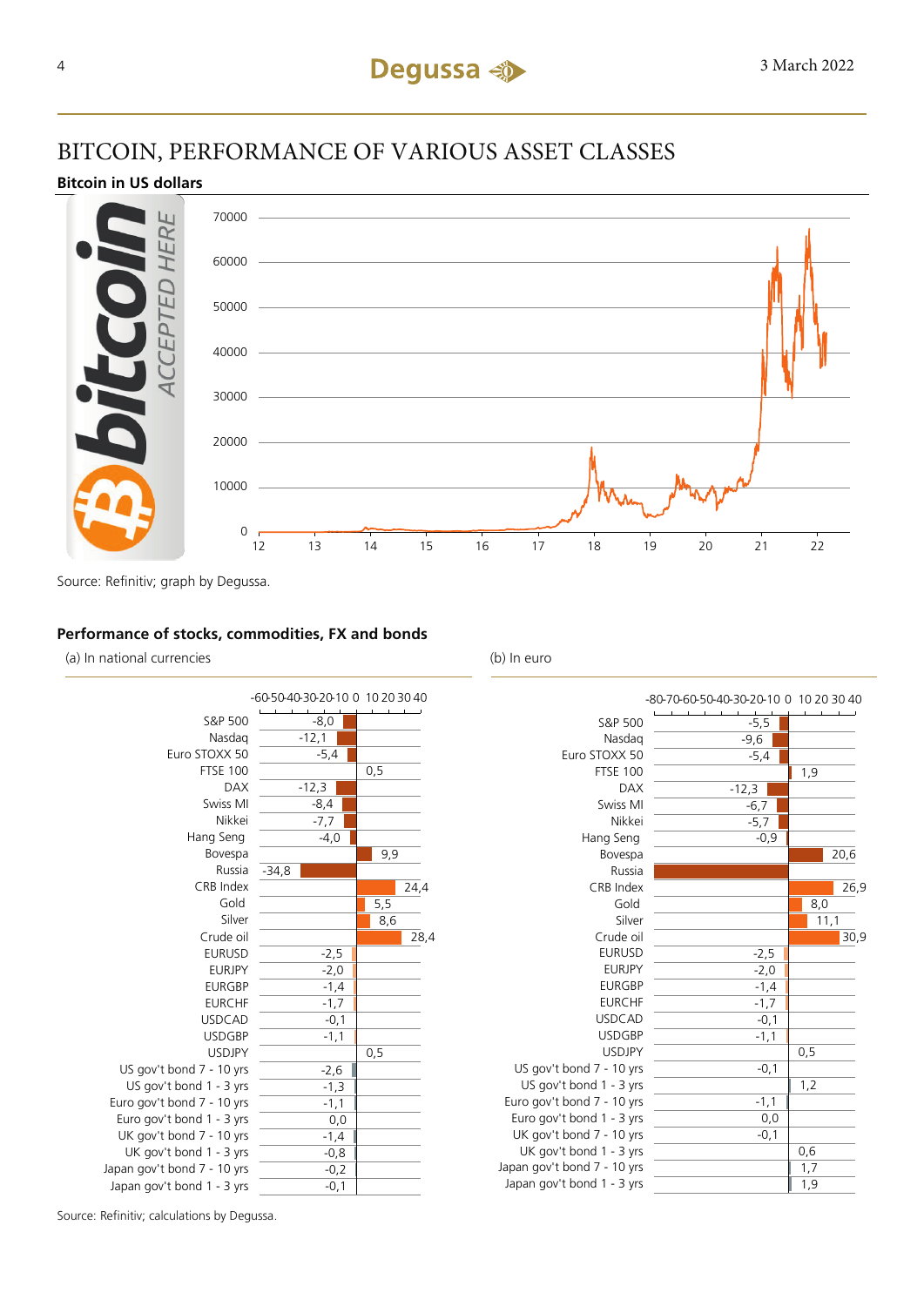### BITCOIN, PERFORMANCE OF VARIOUS ASSET CLASSES

### **Bitcoin in US dollars**



Source: Refinitiv; graph by Degussa.

### **Performance of stocks, commodities, FX and bonds**

(a) In national currencies (b) In euro



| $-5,5$<br>S&P 500<br>$-9,6$<br>Nasdag<br>Euro STOXX 50<br>$-5,4$<br><b>FTSE 100</b><br>1,9<br>$-12,3$<br><b>DAX</b><br>Swiss MI<br>$-6,7$<br>Nikkei<br>$-5,7$<br>Hang Seng<br>$-0,9$<br>20,6<br>Bovespa<br>Russia<br>CRB Index<br>26,9<br>Gold<br>8,0<br>Silver<br>11,1<br>Crude oil<br>30,9<br><b>EURUSD</b><br>$-2,5$<br><b>EURJPY</b><br>$-2,0$<br><b>EURGBP</b><br>$-1,4$<br><b>EURCHF</b><br>$-1,7$<br><b>USDCAD</b><br>$-0,1$<br><b>USDGBP</b><br>$-1,1$<br><b>USDJPY</b><br>0,5<br>US gov't bond 7 - 10 yrs<br>$-0,1$<br>US gov't bond 1 - 3 yrs<br>1,2<br>Euro gov't bond 7 - 10 yrs<br>$-1,1$<br>Euro gov't bond 1 - 3 yrs<br>0,0<br>UK gov't bond 7 - 10 yrs<br>$-0,1$<br>UK gov't bond 1 - 3 yrs<br>0,6<br>Japan gov't bond 7 - 10 yrs<br>1,7<br>Japan gov't bond 1 - 3 yrs<br>1,9 | -80-70-60-50-40-30-20-10 0 10 20 30 40 |  |
|-----------------------------------------------------------------------------------------------------------------------------------------------------------------------------------------------------------------------------------------------------------------------------------------------------------------------------------------------------------------------------------------------------------------------------------------------------------------------------------------------------------------------------------------------------------------------------------------------------------------------------------------------------------------------------------------------------------------------------------------------------------------------------------------------|----------------------------------------|--|
|                                                                                                                                                                                                                                                                                                                                                                                                                                                                                                                                                                                                                                                                                                                                                                                               |                                        |  |
|                                                                                                                                                                                                                                                                                                                                                                                                                                                                                                                                                                                                                                                                                                                                                                                               |                                        |  |
|                                                                                                                                                                                                                                                                                                                                                                                                                                                                                                                                                                                                                                                                                                                                                                                               |                                        |  |
|                                                                                                                                                                                                                                                                                                                                                                                                                                                                                                                                                                                                                                                                                                                                                                                               |                                        |  |
|                                                                                                                                                                                                                                                                                                                                                                                                                                                                                                                                                                                                                                                                                                                                                                                               |                                        |  |
|                                                                                                                                                                                                                                                                                                                                                                                                                                                                                                                                                                                                                                                                                                                                                                                               |                                        |  |
|                                                                                                                                                                                                                                                                                                                                                                                                                                                                                                                                                                                                                                                                                                                                                                                               |                                        |  |
|                                                                                                                                                                                                                                                                                                                                                                                                                                                                                                                                                                                                                                                                                                                                                                                               |                                        |  |
|                                                                                                                                                                                                                                                                                                                                                                                                                                                                                                                                                                                                                                                                                                                                                                                               |                                        |  |
|                                                                                                                                                                                                                                                                                                                                                                                                                                                                                                                                                                                                                                                                                                                                                                                               |                                        |  |
|                                                                                                                                                                                                                                                                                                                                                                                                                                                                                                                                                                                                                                                                                                                                                                                               |                                        |  |
|                                                                                                                                                                                                                                                                                                                                                                                                                                                                                                                                                                                                                                                                                                                                                                                               |                                        |  |
|                                                                                                                                                                                                                                                                                                                                                                                                                                                                                                                                                                                                                                                                                                                                                                                               |                                        |  |
|                                                                                                                                                                                                                                                                                                                                                                                                                                                                                                                                                                                                                                                                                                                                                                                               |                                        |  |
|                                                                                                                                                                                                                                                                                                                                                                                                                                                                                                                                                                                                                                                                                                                                                                                               |                                        |  |
|                                                                                                                                                                                                                                                                                                                                                                                                                                                                                                                                                                                                                                                                                                                                                                                               |                                        |  |
|                                                                                                                                                                                                                                                                                                                                                                                                                                                                                                                                                                                                                                                                                                                                                                                               |                                        |  |
|                                                                                                                                                                                                                                                                                                                                                                                                                                                                                                                                                                                                                                                                                                                                                                                               |                                        |  |
|                                                                                                                                                                                                                                                                                                                                                                                                                                                                                                                                                                                                                                                                                                                                                                                               |                                        |  |
|                                                                                                                                                                                                                                                                                                                                                                                                                                                                                                                                                                                                                                                                                                                                                                                               |                                        |  |
|                                                                                                                                                                                                                                                                                                                                                                                                                                                                                                                                                                                                                                                                                                                                                                                               |                                        |  |
|                                                                                                                                                                                                                                                                                                                                                                                                                                                                                                                                                                                                                                                                                                                                                                                               |                                        |  |
|                                                                                                                                                                                                                                                                                                                                                                                                                                                                                                                                                                                                                                                                                                                                                                                               |                                        |  |
|                                                                                                                                                                                                                                                                                                                                                                                                                                                                                                                                                                                                                                                                                                                                                                                               |                                        |  |
|                                                                                                                                                                                                                                                                                                                                                                                                                                                                                                                                                                                                                                                                                                                                                                                               |                                        |  |
|                                                                                                                                                                                                                                                                                                                                                                                                                                                                                                                                                                                                                                                                                                                                                                                               |                                        |  |
|                                                                                                                                                                                                                                                                                                                                                                                                                                                                                                                                                                                                                                                                                                                                                                                               |                                        |  |
|                                                                                                                                                                                                                                                                                                                                                                                                                                                                                                                                                                                                                                                                                                                                                                                               |                                        |  |
|                                                                                                                                                                                                                                                                                                                                                                                                                                                                                                                                                                                                                                                                                                                                                                                               |                                        |  |

Source: Refinitiv; calculations by Degussa.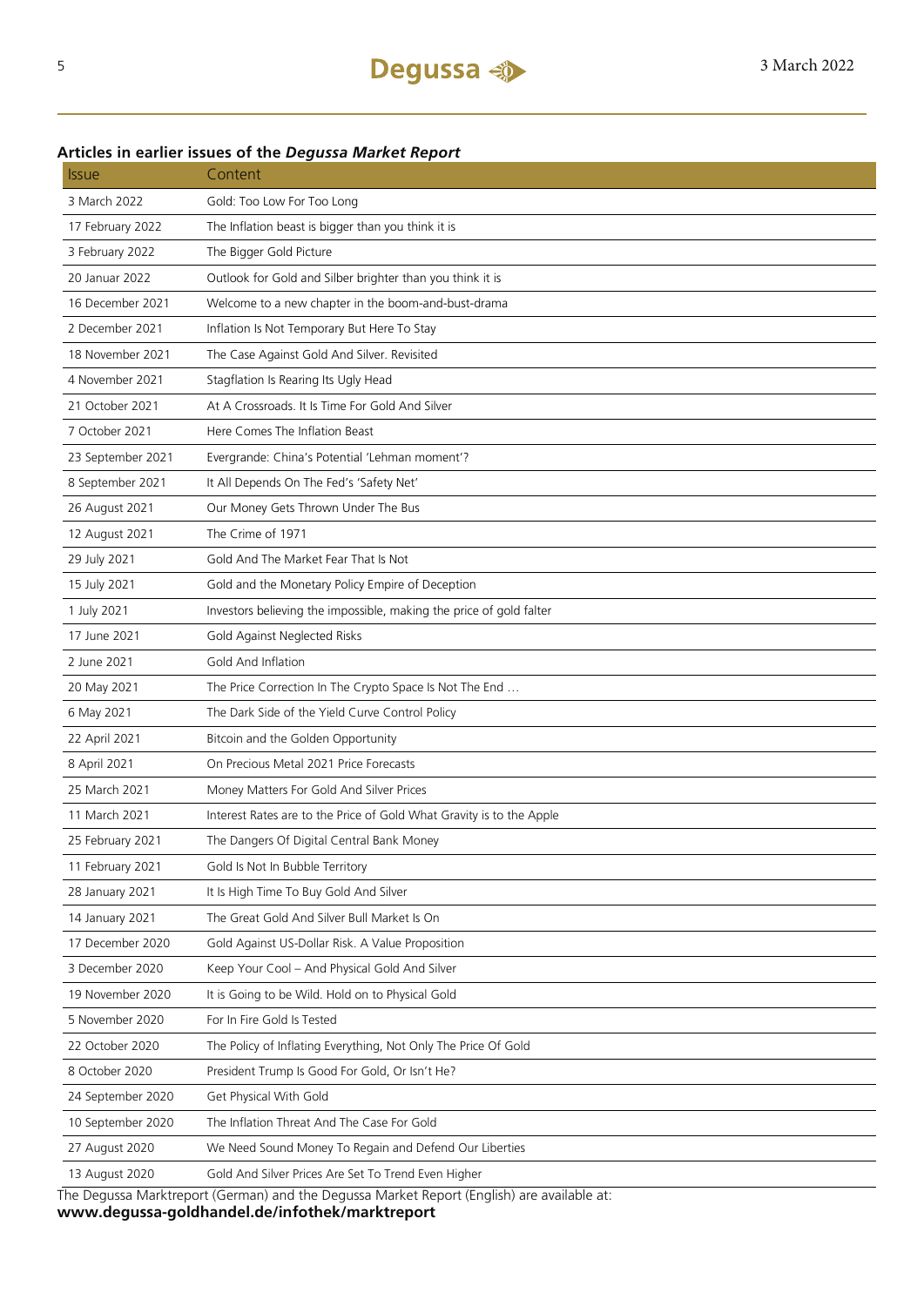### **Articles in earlier issues of the** *Degussa Market Report*

| <i><b>Issue</b></i> | Content                                                                                                                                          |
|---------------------|--------------------------------------------------------------------------------------------------------------------------------------------------|
| 3 March 2022        | Gold: Too Low For Too Long                                                                                                                       |
| 17 February 2022    | The Inflation beast is bigger than you think it is                                                                                               |
| 3 February 2022     | The Bigger Gold Picture                                                                                                                          |
| 20 Januar 2022      | Outlook for Gold and Silber brighter than you think it is                                                                                        |
| 16 December 2021    | Welcome to a new chapter in the boom-and-bust-drama                                                                                              |
| 2 December 2021     | Inflation Is Not Temporary But Here To Stay                                                                                                      |
| 18 November 2021    | The Case Against Gold And Silver. Revisited                                                                                                      |
| 4 November 2021     | Stagflation Is Rearing Its Ugly Head                                                                                                             |
| 21 October 2021     | At A Crossroads. It Is Time For Gold And Silver                                                                                                  |
| 7 October 2021      | Here Comes The Inflation Beast                                                                                                                   |
| 23 September 2021   | Evergrande: China's Potential 'Lehman moment'?                                                                                                   |
| 8 September 2021    | It All Depends On The Fed's 'Safety Net'                                                                                                         |
| 26 August 2021      | Our Money Gets Thrown Under The Bus                                                                                                              |
| 12 August 2021      | The Crime of 1971                                                                                                                                |
| 29 July 2021        | Gold And The Market Fear That Is Not                                                                                                             |
| 15 July 2021        | Gold and the Monetary Policy Empire of Deception                                                                                                 |
| 1 July 2021         | Investors believing the impossible, making the price of gold falter                                                                              |
| 17 June 2021        | Gold Against Neglected Risks                                                                                                                     |
| 2 June 2021         | Gold And Inflation                                                                                                                               |
| 20 May 2021         | The Price Correction In The Crypto Space Is Not The End                                                                                          |
| 6 May 2021          | The Dark Side of the Yield Curve Control Policy                                                                                                  |
| 22 April 2021       | Bitcoin and the Golden Opportunity                                                                                                               |
| 8 April 2021        | On Precious Metal 2021 Price Forecasts                                                                                                           |
| 25 March 2021       | Money Matters For Gold And Silver Prices                                                                                                         |
| 11 March 2021       | Interest Rates are to the Price of Gold What Gravity is to the Apple                                                                             |
| 25 February 2021    | The Dangers Of Digital Central Bank Money                                                                                                        |
| 11 February 2021    | Gold Is Not In Bubble Territory                                                                                                                  |
| 28 January 2021     | It Is High Time To Buy Gold And Silver                                                                                                           |
| 14 January 2021     | The Great Gold And Silver Bull Market Is On                                                                                                      |
| 17 December 2020    | Gold Against US-Dollar Risk. A Value Proposition                                                                                                 |
| 3 December 2020     | Keep Your Cool - And Physical Gold And Silver                                                                                                    |
| 19 November 2020    | It is Going to be Wild. Hold on to Physical Gold                                                                                                 |
| 5 November 2020     | For In Fire Gold Is Tested                                                                                                                       |
| 22 October 2020     | The Policy of Inflating Everything, Not Only The Price Of Gold                                                                                   |
| 8 October 2020      | President Trump Is Good For Gold, Or Isn't He?                                                                                                   |
| 24 September 2020   | Get Physical With Gold                                                                                                                           |
| 10 September 2020   | The Inflation Threat And The Case For Gold                                                                                                       |
| 27 August 2020      | We Need Sound Money To Regain and Defend Our Liberties                                                                                           |
| 13 August 2020      | Gold And Silver Prices Are Set To Trend Even Higher<br>The Dequese Marktroport (Corman) and the Dequese Market Benert (English) are available at |
|                     |                                                                                                                                                  |

The Degussa Marktreport (German) and the Degussa Market Report (English) are available at: **www.degussa-goldhandel.de/infothek/marktreport**